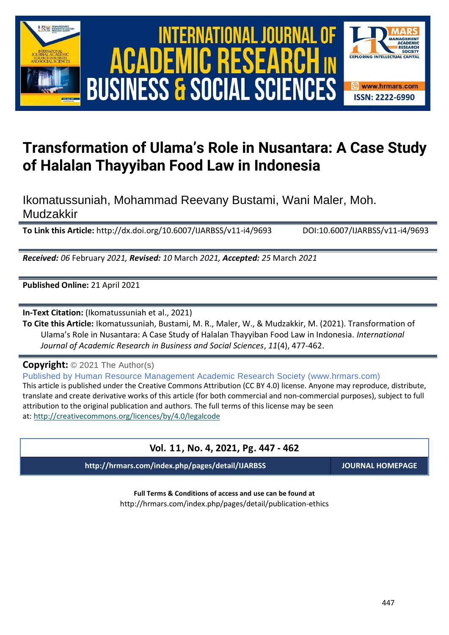





# **Transformation of Ulama's Role in Nusantara: A Case Study of Halalan Thayyiban Food Law in Indonesia**

## Ikomatussuniah, Mohammad Reevany Bustami, Wani Maler, Moh. Mudzakkir

**To Link this Article:** http://dx.doi.org/10.6007/IJARBSS/v11-i4/9693 DOI:10.6007/IJARBSS/v11-i4/9693

*Received: 06* February *2021, Revised: 10* March *2021, Accepted: 25* March *2021*

**Published Online:** 21 April 2021

**In-Text Citation:** (Ikomatussuniah et al., 2021)

**To Cite this Article:** Ikomatussuniah, Bustami, M. R., Maler, W., & Mudzakkir, M. (2021). Transformation of Ulama's Role in Nusantara: A Case Study of Halalan Thayyiban Food Law in Indonesia. *International Journal of Academic Research in Business and Social Sciences*, *11*(4), 477-462.

**Copyright:** © 2021 The Author(s)

Published by Human Resource Management Academic Research Society (www.hrmars.com)

This article is published under the Creative Commons Attribution (CC BY 4.0) license. Anyone may reproduce, distribute, translate and create derivative works of this article (for both commercial and non-commercial purposes), subject to full attribution to the original publication and authors. The full terms of this license may be seen at: <http://creativecommons.org/licences/by/4.0/legalcode>

# **Vol. 11, No. 4, 2021, Pg. 447 - 462 http://hrmars.com/index.php/pages/detail/IJARBSS JOURNAL HOMEPAGE**

**Full Terms & Conditions of access and use can be found at** http://hrmars.com/index.php/pages/detail/publication-ethics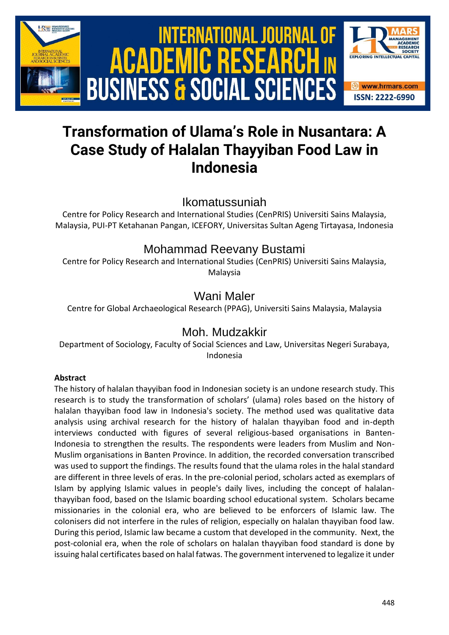

# **Transformation of Ulama's Role in Nusantara: A Case Study of Halalan Thayyiban Food Law in Indonesia**

Ikomatussuniah

Centre for Policy Research and International Studies (CenPRIS) Universiti Sains Malaysia, Malaysia, PUI-PT Ketahanan Pangan, ICEFORY, Universitas Sultan Ageng Tirtayasa, Indonesia

## Mohammad Reevany Bustami

Centre for Policy Research and International Studies (CenPRIS) Universiti Sains Malaysia, Malaysia

# Wani Maler

Centre for Global Archaeological Research (PPAG), Universiti Sains Malaysia, Malaysia

## Moh. Mudzakkir

Department of Sociology, Faculty of Social Sciences and Law, Universitas Negeri Surabaya, Indonesia

### **Abstract**

The history of halalan thayyiban food in Indonesian society is an undone research study. This research is to study the transformation of scholars' (ulama) roles based on the history of halalan thayyiban food law in Indonesia's society. The method used was qualitative data analysis using archival research for the history of halalan thayyiban food and in-depth interviews conducted with figures of several religious-based organisations in Banten-Indonesia to strengthen the results. The respondents were leaders from Muslim and Non-Muslim organisations in Banten Province. In addition, the recorded conversation transcribed was used to support the findings. The results found that the ulama roles in the halal standard are different in three levels of eras. In the pre-colonial period, scholars acted as exemplars of Islam by applying Islamic values in people's daily lives, including the concept of halalanthayyiban food, based on the Islamic boarding school educational system. Scholars became missionaries in the colonial era, who are believed to be enforcers of Islamic law. The colonisers did not interfere in the rules of religion, especially on halalan thayyiban food law. During this period, Islamic law became a custom that developed in the community. Next, the post-colonial era, when the role of scholars on halalan thayyiban food standard is done by issuing halal certificates based on halal fatwas. The government intervened to legalize it under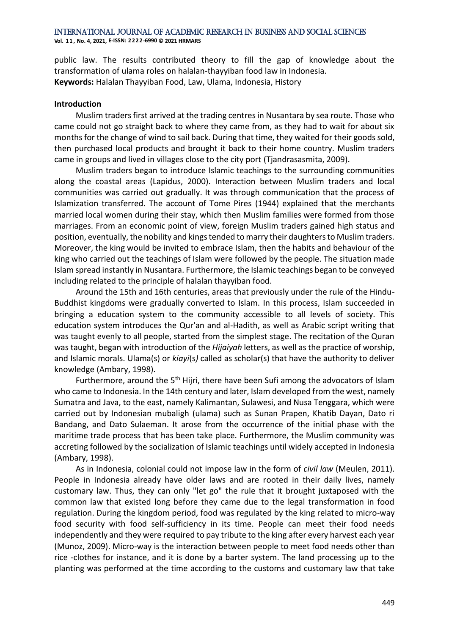public law. The results contributed theory to fill the gap of knowledge about the transformation of ulama roles on halalan-thayyiban food law in Indonesia. **Keywords:** Halalan Thayyiban Food, Law, Ulama, Indonesia, History

#### **Introduction**

Muslim traders first arrived at the trading centres in Nusantara by sea route. Those who came could not go straight back to where they came from, as they had to wait for about six months for the change of wind to sail back. During that time, they waited for their goods sold, then purchased local products and brought it back to their home country. Muslim traders came in groups and lived in villages close to the city port (Tjandrasasmita, 2009).

Muslim traders began to introduce Islamic teachings to the surrounding communities along the coastal areas (Lapidus, 2000). Interaction between Muslim traders and local communities was carried out gradually. It was through communication that the process of Islamization transferred. The account of Tome Pires (1944) explained that the merchants married local women during their stay, which then Muslim families were formed from those marriages. From an economic point of view, foreign Muslim traders gained high status and position, eventually, the nobility and kings tended to marry their daughters to Muslim traders. Moreover, the king would be invited to embrace Islam, then the habits and behaviour of the king who carried out the teachings of Islam were followed by the people. The situation made Islam spread instantly in Nusantara. Furthermore, the Islamic teachings began to be conveyed including related to the principle of halalan thayyiban food.

Around the 15th and 16th centuries, areas that previously under the rule of the Hindu-Buddhist kingdoms were gradually converted to Islam. In this process, Islam succeeded in bringing a education system to the community accessible to all levels of society. This education system introduces the Qur'an and al-Hadith, as well as Arabic script writing that was taught evenly to all people, started from the simplest stage. The recitation of the Quran was taught, began with introduction of the *Hijaiyah* letters, as well as the practice of worship, and Islamic morals. Ulama(s) or *kiayi*(s*)* called as scholar(s) that have the authority to deliver knowledge (Ambary, 1998).

Furthermore, around the  $5<sup>th</sup>$  Hijri, there have been Sufi among the advocators of Islam who came to Indonesia. In the 14th century and later, Islam developed from the west, namely Sumatra and Java, to the east, namely Kalimantan, Sulawesi, and Nusa Tenggara, which were carried out by Indonesian mubaligh (ulama) such as Sunan Prapen, Khatib Dayan, Dato ri Bandang, and Dato Sulaeman. It arose from the occurrence of the initial phase with the maritime trade process that has been take place. Furthermore, the Muslim community was accreting followed by the socialization of Islamic teachings until widely accepted in Indonesia (Ambary, 1998).

As in Indonesia, colonial could not impose law in the form of *civil law* (Meulen, 2011). People in Indonesia already have older laws and are rooted in their daily lives, namely customary law. Thus, they can only "let go" the rule that it brought juxtaposed with the common law that existed long before they came due to the legal transformation in food regulation. During the kingdom period, food was regulated by the king related to micro-way food security with food self-sufficiency in its time. People can meet their food needs independently and they were required to pay tribute to the king after every harvest each year (Munoz, 2009). Micro-way is the interaction between people to meet food needs other than rice -clothes for instance, and it is done by a barter system. The land processing up to the planting was performed at the time according to the customs and customary law that take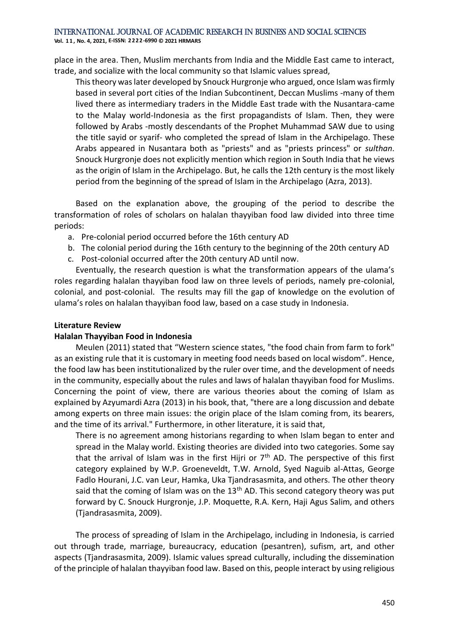**Vol. 1 1 , No. 4, 2021, E-ISSN: 2222-6990 © 2021 HRMARS**

place in the area. Then, Muslim merchants from India and the Middle East came to interact, trade, and socialize with the local community so that Islamic values spread,

This theory was later developed by Snouck Hurgronje who argued, once Islam was firmly based in several port cities of the Indian Subcontinent, Deccan Muslims -many of them lived there as intermediary traders in the Middle East trade with the Nusantara-came to the Malay world-Indonesia as the first propagandists of Islam. Then, they were followed by Arabs -mostly descendants of the Prophet Muhammad SAW due to using the title sayid or syarif- who completed the spread of Islam in the Archipelago. These Arabs appeared in Nusantara both as "priests" and as "priests princess" or *sulthan*. Snouck Hurgronje does not explicitly mention which region in South India that he views as the origin of Islam in the Archipelago. But, he calls the 12th century is the most likely period from the beginning of the spread of Islam in the Archipelago (Azra, 2013).

Based on the explanation above, the grouping of the period to describe the transformation of roles of scholars on halalan thayyiban food law divided into three time periods:

- a. Pre-colonial period occurred before the 16th century AD
- b. The colonial period during the 16th century to the beginning of the 20th century AD
- c. Post-colonial occurred after the 20th century AD until now.

Eventually, the research question is what the transformation appears of the ulama's roles regarding halalan thayyiban food law on three levels of periods, namely pre-colonial, colonial, and post-colonial. The results may fill the gap of knowledge on the evolution of ulama's roles on halalan thayyiban food law, based on a case study in Indonesia.

#### **Literature Review**

#### **Halalan Thayyiban Food in Indonesia**

Meulen (2011) stated that "Western science states, "the food chain from farm to fork" as an existing rule that it is customary in meeting food needs based on local wisdom". Hence, the food law has been institutionalized by the ruler over time, and the development of needs in the community, especially about the rules and laws of halalan thayyiban food for Muslims. Concerning the point of view, there are various theories about the coming of Islam as explained by Azyumardi Azra (2013) in his book, that, "there are a long discussion and debate among experts on three main issues: the origin place of the Islam coming from, its bearers, and the time of its arrival." Furthermore, in other literature, it is said that,

There is no agreement among historians regarding to when Islam began to enter and spread in the Malay world. Existing theories are divided into two categories. Some say that the arrival of Islam was in the first Hijri or  $7<sup>th</sup>$  AD. The perspective of this first category explained by W.P. Groeneveldt, T.W. Arnold, Syed Naguib al-Attas, George Fadlo Hourani, J.C. van Leur, Hamka, Uka Tjandrasasmita, and others. The other theory said that the coming of Islam was on the  $13<sup>th</sup>$  AD. This second category theory was put forward by C. Snouck Hurgronje, J.P. Moquette, R.A. Kern, Haji Agus Salim, and others (Tjandrasasmita, 2009).

The process of spreading of Islam in the Archipelago, including in Indonesia, is carried out through trade, marriage, bureaucracy, education (pesantren), sufism, art, and other aspects (Tjandrasasmita, 2009). Islamic values spread culturally, including the dissemination of the principle of halalan thayyiban food law. Based on this, people interact by using religious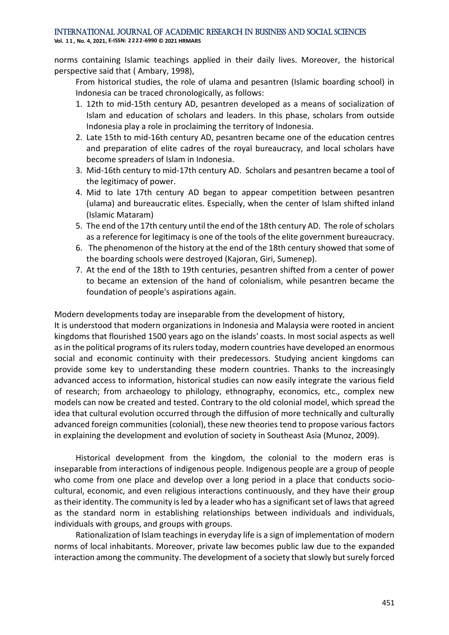**Vol. 1 1 , No. 4, 2021, E-ISSN: 2222-6990 © 2021 HRMARS**

norms containing Islamic teachings applied in their daily lives. Moreover, the historical perspective said that ( Ambary, 1998),

From historical studies, the role of ulama and pesantren (Islamic boarding school) in Indonesia can be traced chronologically, as follows:

- 1. 12th to mid-15th century AD, pesantren developed as a means of socialization of Islam and education of scholars and leaders. In this phase, scholars from outside Indonesia play a role in proclaiming the territory of Indonesia.
- 2. Late 15th to mid-16th century AD, pesantren became one of the education centres and preparation of elite cadres of the royal bureaucracy, and local scholars have become spreaders of Islam in Indonesia.
- 3. Mid-16th century to mid-17th century AD. Scholars and pesantren became a tool of the legitimacy of power.
- 4. Mid to late 17th century AD began to appear competition between pesantren (ulama) and bureaucratic elites. Especially, when the center of Islam shifted inland (Islamic Mataram)
- 5. The end of the 17th century until the end of the 18th century AD. The role of scholars as a reference for legitimacy is one of the tools of the elite government bureaucracy.
- 6. The phenomenon of the history at the end of the 18th century showed that some of the boarding schools were destroyed (Kajoran, Giri, Sumenep).
- 7. At the end of the 18th to 19th centuries, pesantren shifted from a center of power to became an extension of the hand of colonialism, while pesantren became the foundation of people's aspirations again.

Modern developments today are inseparable from the development of history,

It is understood that modern organizations in Indonesia and Malaysia were rooted in ancient kingdoms that flourished 1500 years ago on the islands' coasts. In most social aspects as well as in the political programs of its rulers today, modern countries have developed an enormous social and economic continuity with their predecessors. Studying ancient kingdoms can provide some key to understanding these modern countries. Thanks to the increasingly advanced access to information, historical studies can now easily integrate the various field of research; from archaeology to philology, ethnography, economics, etc., complex new models can now be created and tested. Contrary to the old colonial model, which spread the idea that cultural evolution occurred through the diffusion of more technically and culturally advanced foreign communities (colonial), these new theories tend to propose various factors in explaining the development and evolution of society in Southeast Asia (Munoz, 2009).

Historical development from the kingdom, the colonial to the modern eras is inseparable from interactions of indigenous people. Indigenous people are a group of people who come from one place and develop over a long period in a place that conducts sociocultural, economic, and even religious interactions continuously, and they have their group as their identity. The community is led by a leader who has a significant set of laws that agreed as the standard norm in establishing relationships between individuals and individuals, individuals with groups, and groups with groups.

Rationalization of Islam teachings in everyday life is a sign of implementation of modern norms of local inhabitants. Moreover, private law becomes public law due to the expanded interaction among the community. The development of a society that slowly but surely forced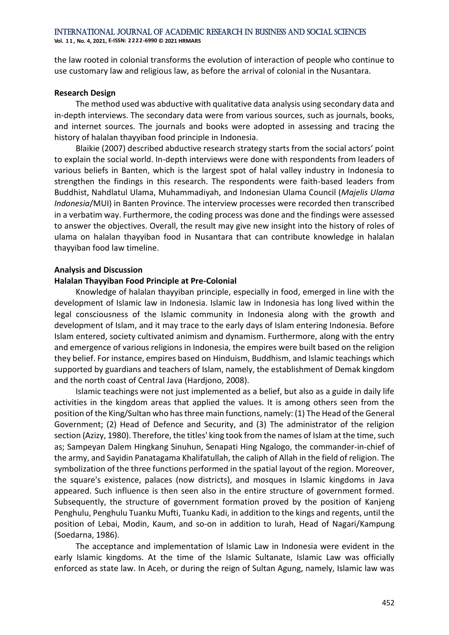the law rooted in colonial transforms the evolution of interaction of people who continue to use customary law and religious law, as before the arrival of colonial in the Nusantara.

#### **Research Design**

The method used was abductive with qualitative data analysis using secondary data and in-depth interviews. The secondary data were from various sources, such as journals, books, and internet sources. The journals and books were adopted in assessing and tracing the history of halalan thayyiban food principle in Indonesia.

Blaikie (2007) described abductive research strategy starts from the social actors' point to explain the social world. In-depth interviews were done with respondents from leaders of various beliefs in Banten, which is the largest spot of halal valley industry in Indonesia to strengthen the findings in this research. The respondents were faith-based leaders from Buddhist, Nahdlatul Ulama, Muhammadiyah, and Indonesian Ulama Council (*Majelis Ulama Indonesia*/MUI) in Banten Province. The interview processes were recorded then transcribed in a verbatim way. Furthermore, the coding process was done and the findings were assessed to answer the objectives. Overall, the result may give new insight into the history of roles of ulama on halalan thayyiban food in Nusantara that can contribute knowledge in halalan thayyiban food law timeline.

#### **Analysis and Discussion**

#### **Halalan Thayyiban Food Principle at Pre-Colonial**

Knowledge of halalan thayyiban principle, especially in food, emerged in line with the development of Islamic law in Indonesia. Islamic law in Indonesia has long lived within the legal consciousness of the Islamic community in Indonesia along with the growth and development of Islam, and it may trace to the early days of Islam entering Indonesia. Before Islam entered, society cultivated animism and dynamism. Furthermore, along with the entry and emergence of various religions in Indonesia, the empires were built based on the religion they belief. For instance, empires based on Hinduism, Buddhism, and Islamic teachings which supported by guardians and teachers of Islam, namely, the establishment of Demak kingdom and the north coast of Central Java (Hardjono, 2008).

Islamic teachings were not just implemented as a belief, but also as a guide in daily life activities in the kingdom areas that applied the values. It is among others seen from the position of the King/Sultan who has three main functions, namely: (1) The Head of the General Government; (2) Head of Defence and Security, and (3) The administrator of the religion section (Azizy, 1980). Therefore, the titles' king took from the names of Islam at the time, such as; Sampeyan Dalem Hingkang Sinuhun, Senapati Hing Ngalogo, the commander-in-chief of the army, and Sayidin Panatagama Khalifatullah, the caliph of Allah in the field of religion. The symbolization of the three functions performed in the spatial layout of the region. Moreover, the square's existence, palaces (now districts), and mosques in Islamic kingdoms in Java appeared. Such influence is then seen also in the entire structure of government formed. Subsequently, the structure of government formation proved by the position of Kanjeng Penghulu, Penghulu Tuanku Mufti, Tuanku Kadi, in addition to the kings and regents, until the position of Lebai, Modin, Kaum, and so-on in addition to lurah, Head of Nagari/Kampung (Soedarna, 1986).

The acceptance and implementation of Islamic Law in Indonesia were evident in the early Islamic kingdoms. At the time of the Islamic Sultanate, Islamic Law was officially enforced as state law. In Aceh, or during the reign of Sultan Agung, namely, Islamic law was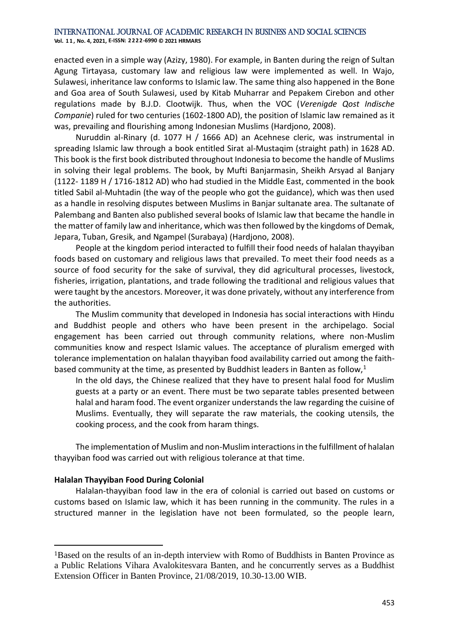**Vol. 1 1 , No. 4, 2021, E-ISSN: 2222-6990 © 2021 HRMARS**

enacted even in a simple way (Azizy, 1980). For example, in Banten during the reign of Sultan Agung Tirtayasa, customary law and religious law were implemented as well. In Wajo, Sulawesi, inheritance law conforms to Islamic law. The same thing also happened in the Bone and Goa area of South Sulawesi, used by Kitab Muharrar and Pepakem Cirebon and other regulations made by B.J.D. Clootwijk. Thus, when the VOC (*Verenigde Qost Indische Companie*) ruled for two centuries (1602-1800 AD), the position of Islamic law remained as it was, prevailing and flourishing among Indonesian Muslims (Hardjono, 2008).

Nuruddin al-Rinary (d. 1077 H / 1666 AD) an Acehnese cleric, was instrumental in spreading Islamic law through a book entitled Sirat al-Mustaqim (straight path) in 1628 AD. This book is the first book distributed throughout Indonesia to become the handle of Muslims in solving their legal problems. The book, by Mufti Banjarmasin, Sheikh Arsyad al Banjary (1122- 1189 H / 1716-1812 AD) who had studied in the Middle East, commented in the book titled Sabil al-Muhtadin (the way of the people who got the guidance), which was then used as a handle in resolving disputes between Muslims in Banjar sultanate area. The sultanate of Palembang and Banten also published several books of Islamic law that became the handle in the matter of family law and inheritance, which was then followed by the kingdoms of Demak, Jepara, Tuban, Gresik, and Ngampel (Surabaya) (Hardjono, 2008).

People at the kingdom period interacted to fulfill their food needs of halalan thayyiban foods based on customary and religious laws that prevailed. To meet their food needs as a source of food security for the sake of survival, they did agricultural processes, livestock, fisheries, irrigation, plantations, and trade following the traditional and religious values that were taught by the ancestors. Moreover, it was done privately, without any interference from the authorities.

The Muslim community that developed in Indonesia has social interactions with Hindu and Buddhist people and others who have been present in the archipelago. Social engagement has been carried out through community relations, where non-Muslim communities know and respect Islamic values. The acceptance of pluralism emerged with tolerance implementation on halalan thayyiban food availability carried out among the faithbased community at the time, as presented by Buddhist leaders in Banten as follow, $1$ 

In the old days, the Chinese realized that they have to present halal food for Muslim guests at a party or an event. There must be two separate tables presented between halal and haram food. The event organizer understands the law regarding the cuisine of Muslims. Eventually, they will separate the raw materials, the cooking utensils, the cooking process, and the cook from haram things.

The implementation of Muslim and non-Muslim interactions in the fulfillment of halalan thayyiban food was carried out with religious tolerance at that time.

#### **Halalan Thayyiban Food During Colonial**

Halalan-thayyiban food law in the era of colonial is carried out based on customs or customs based on Islamic law, which it has been running in the community. The rules in a structured manner in the legislation have not been formulated, so the people learn,

<sup>1</sup>Based on the results of an in-depth interview with Romo of Buddhists in Banten Province as a Public Relations Vihara Avalokitesvara Banten, and he concurrently serves as a Buddhist Extension Officer in Banten Province, 21/08/2019, 10.30-13.00 WIB.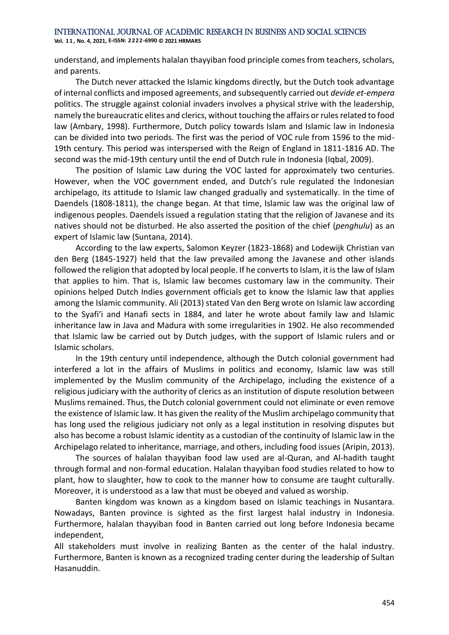**Vol. 1 1 , No. 4, 2021, E-ISSN: 2222-6990 © 2021 HRMARS**

understand, and implements halalan thayyiban food principle comes from teachers, scholars, and parents.

The Dutch never attacked the Islamic kingdoms directly, but the Dutch took advantage of internal conflicts and imposed agreements, and subsequently carried out *devide et-empera* politics. The struggle against colonial invaders involves a physical strive with the leadership, namely the bureaucratic elites and clerics, without touching the affairs or rules related to food law (Ambary, 1998). Furthermore, Dutch policy towards Islam and Islamic law in Indonesia can be divided into two periods. The first was the period of VOC rule from 1596 to the mid-19th century. This period was interspersed with the Reign of England in 1811-1816 AD. The second was the mid-19th century until the end of Dutch rule in Indonesia (Iqbal, 2009).

The position of Islamic Law during the VOC lasted for approximately two centuries. However, when the VOC government ended, and Dutch's rule regulated the Indonesian archipelago, its attitude to Islamic law changed gradually and systematically. In the time of Daendels (1808-1811), the change began. At that time, Islamic law was the original law of indigenous peoples. Daendels issued a regulation stating that the religion of Javanese and its natives should not be disturbed. He also asserted the position of the chief (*penghulu*) as an expert of Islamic law (Suntana, 2014).

According to the law experts, Salomon Keyzer (1823-1868) and Lodewijk Christian van den Berg (1845-1927) held that the law prevailed among the Javanese and other islands followed the religion that adopted by local people. If he converts to Islam, it is the law of Islam that applies to him. That is, Islamic law becomes customary law in the community. Their opinions helped Dutch Indies government officials get to know the Islamic law that applies among the Islamic community. Ali (2013) stated Van den Berg wrote on Islamic law according to the Syafi'i and Hanafi sects in 1884, and later he wrote about family law and Islamic inheritance law in Java and Madura with some irregularities in 1902. He also recommended that Islamic law be carried out by Dutch judges, with the support of Islamic rulers and or Islamic scholars.

In the 19th century until independence, although the Dutch colonial government had interfered a lot in the affairs of Muslims in politics and economy, Islamic law was still implemented by the Muslim community of the Archipelago, including the existence of a religious judiciary with the authority of clerics as an institution of dispute resolution between Muslims remained. Thus, the Dutch colonial government could not eliminate or even remove the existence of Islamic law. It has given the reality of the Muslim archipelago community that has long used the religious judiciary not only as a legal institution in resolving disputes but also has become a robust Islamic identity as a custodian of the continuity of Islamic law in the Archipelago related to inheritance, marriage, and others, including food issues (Aripin, 2013).

The sources of halalan thayyiban food law used are al-Quran, and Al-hadith taught through formal and non-formal education. Halalan thayyiban food studies related to how to plant, how to slaughter, how to cook to the manner how to consume are taught culturally. Moreover, it is understood as a law that must be obeyed and valued as worship.

Banten kingdom was known as a kingdom based on Islamic teachings in Nusantara. Nowadays, Banten province is sighted as the first largest halal industry in Indonesia. Furthermore, halalan thayyiban food in Banten carried out long before Indonesia became independent,

All stakeholders must involve in realizing Banten as the center of the halal industry. Furthermore, Banten is known as a recognized trading center during the leadership of Sultan Hasanuddin.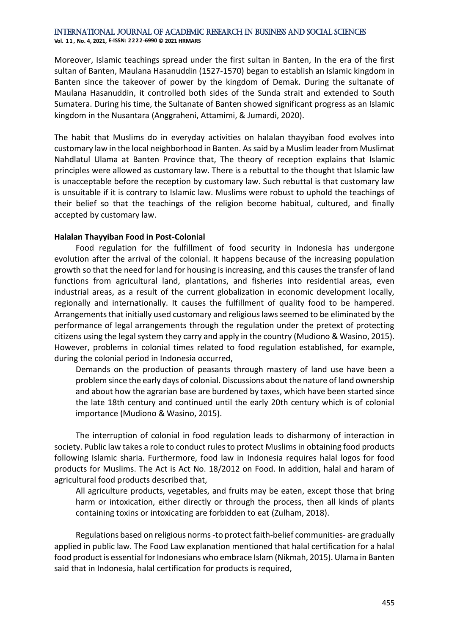**Vol. 1 1 , No. 4, 2021, E-ISSN: 2222-6990 © 2021 HRMARS**

Moreover, Islamic teachings spread under the first sultan in Banten, In the era of the first sultan of Banten, Maulana Hasanuddin (1527-1570) began to establish an Islamic kingdom in Banten since the takeover of power by the kingdom of Demak. During the sultanate of Maulana Hasanuddin, it controlled both sides of the Sunda strait and extended to South Sumatera. During his time, the Sultanate of Banten showed significant progress as an Islamic kingdom in the Nusantara (Anggraheni, Attamimi, & Jumardi, 2020).

The habit that Muslims do in everyday activities on halalan thayyiban food evolves into customary law in the local neighborhood in Banten. As said by a Muslim leader from Muslimat Nahdlatul Ulama at Banten Province that, The theory of reception explains that Islamic principles were allowed as customary law. There is a rebuttal to the thought that Islamic law is unacceptable before the reception by customary law. Such rebuttal is that customary law is unsuitable if it is contrary to Islamic law. Muslims were robust to uphold the teachings of their belief so that the teachings of the religion become habitual, cultured, and finally accepted by customary law.

#### **Halalan Thayyiban Food in Post-Colonial**

Food regulation for the fulfillment of food security in Indonesia has undergone evolution after the arrival of the colonial. It happens because of the increasing population growth so that the need for land for housing is increasing, and this causes the transfer of land functions from agricultural land, plantations, and fisheries into residential areas, even industrial areas, as a result of the current globalization in economic development locally, regionally and internationally. It causes the fulfillment of quality food to be hampered. Arrangements that initially used customary and religious laws seemed to be eliminated by the performance of legal arrangements through the regulation under the pretext of protecting citizens using the legal system they carry and apply in the country (Mudiono & Wasino, 2015). However, problems in colonial times related to food regulation established, for example, during the colonial period in Indonesia occurred,

Demands on the production of peasants through mastery of land use have been a problem since the early days of colonial. Discussions about the nature of land ownership and about how the agrarian base are burdened by taxes, which have been started since the late 18th century and continued until the early 20th century which is of colonial importance (Mudiono & Wasino, 2015).

The interruption of colonial in food regulation leads to disharmony of interaction in society. Public law takes a role to conduct rules to protect Muslims in obtaining food products following Islamic sharia. Furthermore, food law in Indonesia requires halal logos for food products for Muslims. The Act is Act No. 18/2012 on Food. In addition, halal and haram of agricultural food products described that,

All agriculture products, vegetables, and fruits may be eaten, except those that bring harm or intoxication, either directly or through the process, then all kinds of plants containing toxins or intoxicating are forbidden to eat (Zulham, 2018).

Regulations based on religious norms -to protect faith-belief communities- are gradually applied in public law. The Food Law explanation mentioned that halal certification for a halal food product is essential for Indonesians who embrace Islam (Nikmah, 2015). Ulama in Banten said that in Indonesia, halal certification for products is required,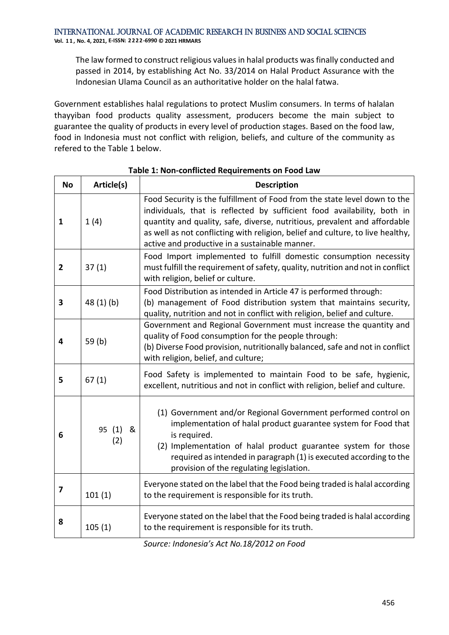The law formed to construct religious values in halal products was finally conducted and passed in 2014, by establishing Act No. 33/2014 on Halal Product Assurance with the Indonesian Ulama Council as an authoritative holder on the halal fatwa.

Government establishes halal regulations to protect Muslim consumers. In terms of halalan thayyiban food products quality assessment, producers become the main subject to guarantee the quality of products in every level of production stages. Based on the food law, food in Indonesia must not conflict with religion, beliefs, and culture of the community as refered to the Table 1 below.

| <b>No</b>               | Article(s)      | <b>Description</b>                                                                                                                                                                                                                                                                                                                                                    |
|-------------------------|-----------------|-----------------------------------------------------------------------------------------------------------------------------------------------------------------------------------------------------------------------------------------------------------------------------------------------------------------------------------------------------------------------|
| 1                       | 1(4)            | Food Security is the fulfillment of Food from the state level down to the<br>individuals, that is reflected by sufficient food availability, both in<br>quantity and quality, safe, diverse, nutritious, prevalent and affordable<br>as well as not conflicting with religion, belief and culture, to live healthy,<br>active and productive in a sustainable manner. |
| $\overline{2}$          | 37(1)           | Food Import implemented to fulfill domestic consumption necessity<br>must fulfill the requirement of safety, quality, nutrition and not in conflict<br>with religion, belief or culture.                                                                                                                                                                              |
| 3                       | 48(1)(b)        | Food Distribution as intended in Article 47 is performed through:<br>(b) management of Food distribution system that maintains security,<br>quality, nutrition and not in conflict with religion, belief and culture.                                                                                                                                                 |
| 4                       | 59 $(b)$        | Government and Regional Government must increase the quantity and<br>quality of Food consumption for the people through:<br>(b) Diverse Food provision, nutritionally balanced, safe and not in conflict<br>with religion, belief, and culture;                                                                                                                       |
| 5                       | 67(1)           | Food Safety is implemented to maintain Food to be safe, hygienic,<br>excellent, nutritious and not in conflict with religion, belief and culture.                                                                                                                                                                                                                     |
| 6                       | 95 (1) &<br>(2) | (1) Government and/or Regional Government performed control on<br>implementation of halal product guarantee system for Food that<br>is required.<br>(2) Implementation of halal product guarantee system for those<br>required as intended in paragraph (1) is executed according to the<br>provision of the regulating legislation.                                  |
| $\overline{\mathbf{z}}$ | 101(1)          | Everyone stated on the label that the Food being traded is halal according<br>to the requirement is responsible for its truth.                                                                                                                                                                                                                                        |
| 8                       | 105(1)          | Everyone stated on the label that the Food being traded is halal according<br>to the requirement is responsible for its truth.                                                                                                                                                                                                                                        |

#### **Table 1: Non-conflicted Requirements on Food Law**

*Source: Indonesia's Act No.18/2012 on Food*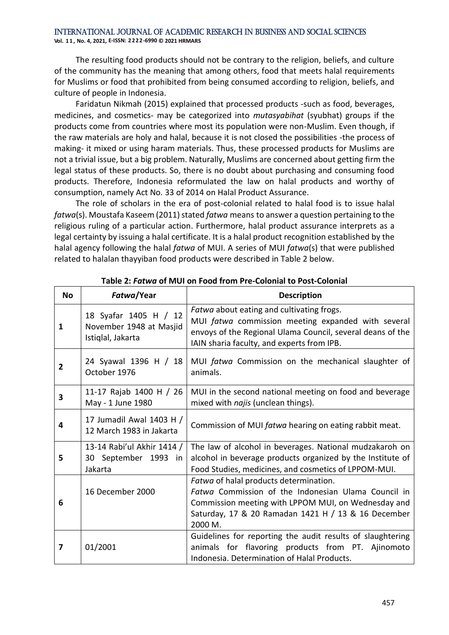The resulting food products should not be contrary to the religion, beliefs, and culture of the community has the meaning that among others, food that meets halal requirements for Muslims or food that prohibited from being consumed according to religion, beliefs, and culture of people in Indonesia.

Faridatun Nikmah (2015) explained that processed products -such as food, beverages, medicines, and cosmetics- may be categorized into *mutasyabihat* (syubhat) groups if the products come from countries where most its population were non-Muslim. Even though, if the raw materials are holy and halal, because it is not closed the possibilities -the process of making- it mixed or using haram materials. Thus, these processed products for Muslims are not a trivial issue, but a big problem. Naturally, Muslims are concerned about getting firm the legal status of these products. So, there is no doubt about purchasing and consuming food products. Therefore, Indonesia reformulated the law on halal products and worthy of consumption, namely Act No. 33 of 2014 on Halal Product Assurance.

The role of scholars in the era of post-colonial related to halal food is to issue halal *fatwa*(s). Moustafa Kaseem (2011) stated *fatwa* means to answer a question pertaining to the religious ruling of a particular action. Furthermore, halal product assurance interprets as a legal certainty by issuing a halal certificate. It is a halal product recognition established by the halal agency following the halal *fatwa* of MUI. A series of MUI *fatwa*(s) that were published related to halalan thayyiban food products were described in Table 2 below.

| <b>No</b> | Fatwa/Year                                                            | <b>Description</b>                                                                                                                                                                                                     |
|-----------|-----------------------------------------------------------------------|------------------------------------------------------------------------------------------------------------------------------------------------------------------------------------------------------------------------|
| 1         | 18 Syafar 1405 H / 12<br>November 1948 at Masjid<br>Istiqlal, Jakarta | Fatwa about eating and cultivating frogs.<br>MUI fatwa commission meeting expanded with several<br>envoys of the Regional Ulama Council, several deans of the<br>IAIN sharia faculty, and experts from IPB.            |
| 2         | 24 Syawal 1396 H / 18<br>October 1976                                 | MUI fatwa Commission on the mechanical slaughter of<br>animals.                                                                                                                                                        |
| 3         | 11-17 Rajab 1400 H / 26<br>May - 1 June 1980                          | MUI in the second national meeting on food and beverage<br>mixed with najis (unclean things).                                                                                                                          |
| 4         | 17 Jumadil Awal 1403 H /<br>12 March 1983 in Jakarta                  | Commission of MUI fatwa hearing on eating rabbit meat.                                                                                                                                                                 |
| 5         | 13-14 Rabi'ul Akhir 1414 /<br>30 September 1993 in<br>Jakarta         | The law of alcohol in beverages. National mudzakaroh on<br>alcohol in beverage products organized by the Institute of<br>Food Studies, medicines, and cosmetics of LPPOM-MUI.                                          |
| 6         | 16 December 2000                                                      | Fatwa of halal products determination.<br>Fatwa Commission of the Indonesian Ulama Council in<br>Commission meeting with LPPOM MUI, on Wednesday and<br>Saturday, 17 & 20 Ramadan 1421 H / 13 & 16 December<br>2000 M. |
| 7         | 01/2001                                                               | Guidelines for reporting the audit results of slaughtering<br>animals for flavoring products from PT. Ajinomoto<br>Indonesia. Determination of Halal Products.                                                         |

**Table 2:** *Fatwa* **of MUI on Food from Pre-Colonial to Post-Colonial**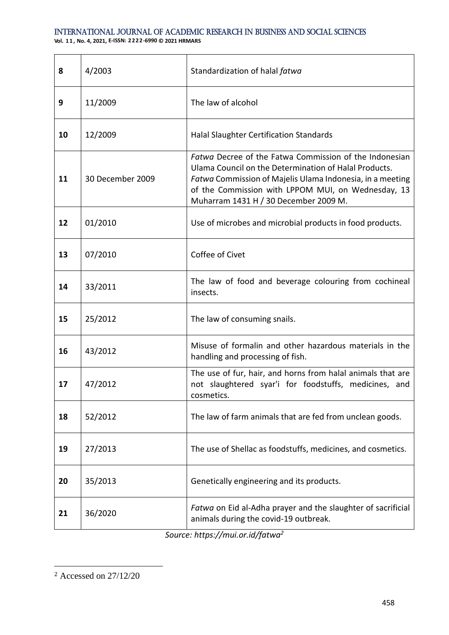**Vol. 1 1 , No. 4, 2021, E-ISSN: 2222-6990 © 2021 HRMARS**

| 8  | 4/2003           | Standardization of halal fatwa                                                                                                                                                                                                                                              |
|----|------------------|-----------------------------------------------------------------------------------------------------------------------------------------------------------------------------------------------------------------------------------------------------------------------------|
| 9  | 11/2009          | The law of alcohol                                                                                                                                                                                                                                                          |
| 10 | 12/2009          | Halal Slaughter Certification Standards                                                                                                                                                                                                                                     |
| 11 | 30 December 2009 | Fatwa Decree of the Fatwa Commission of the Indonesian<br>Ulama Council on the Determination of Halal Products.<br>Fatwa Commission of Majelis Ulama Indonesia, in a meeting<br>of the Commission with LPPOM MUI, on Wednesday, 13<br>Muharram 1431 H / 30 December 2009 M. |
| 12 | 01/2010          | Use of microbes and microbial products in food products.                                                                                                                                                                                                                    |
| 13 | 07/2010          | Coffee of Civet                                                                                                                                                                                                                                                             |
| 14 | 33/2011          | The law of food and beverage colouring from cochineal<br>insects.                                                                                                                                                                                                           |
| 15 | 25/2012          | The law of consuming snails.                                                                                                                                                                                                                                                |
| 16 | 43/2012          | Misuse of formalin and other hazardous materials in the<br>handling and processing of fish.                                                                                                                                                                                 |
| 17 | 47/2012          | The use of fur, hair, and horns from halal animals that are<br>not slaughtered syar'i for foodstuffs, medicines, and<br>cosmetics.                                                                                                                                          |
| 18 | 52/2012          | The law of farm animals that are fed from unclean goods.                                                                                                                                                                                                                    |
| 19 | 27/2013          | The use of Shellac as foodstuffs, medicines, and cosmetics.                                                                                                                                                                                                                 |
| 20 | 35/2013          | Genetically engineering and its products.                                                                                                                                                                                                                                   |
| 21 | 36/2020          | Fatwa on Eid al-Adha prayer and the slaughter of sacrificial<br>animals during the covid-19 outbreak.                                                                                                                                                                       |

*Source:<https://mui.or.id/fatwa><sup>2</sup>*

<sup>2</sup> Accessed on 27/12/20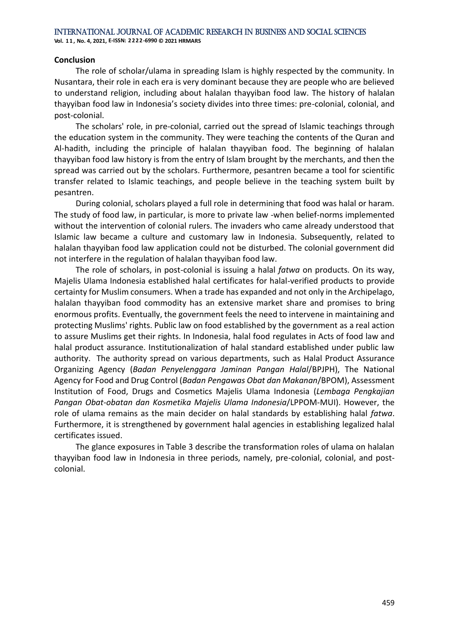#### **Conclusion**

The role of scholar/ulama in spreading Islam is highly respected by the community. In Nusantara, their role in each era is very dominant because they are people who are believed to understand religion, including about halalan thayyiban food law. The history of halalan thayyiban food law in Indonesia's society divides into three times: pre-colonial, colonial, and post-colonial.

The scholars' role, in pre-colonial, carried out the spread of Islamic teachings through the education system in the community. They were teaching the contents of the Quran and Al-hadith, including the principle of halalan thayyiban food. The beginning of halalan thayyiban food law history is from the entry of Islam brought by the merchants, and then the spread was carried out by the scholars. Furthermore, pesantren became a tool for scientific transfer related to Islamic teachings, and people believe in the teaching system built by pesantren.

During colonial, scholars played a full role in determining that food was halal or haram. The study of food law, in particular, is more to private law -when belief-norms implemented without the intervention of colonial rulers. The invaders who came already understood that Islamic law became a culture and customary law in Indonesia. Subsequently, related to halalan thayyiban food law application could not be disturbed. The colonial government did not interfere in the regulation of halalan thayyiban food law.

The role of scholars, in post-colonial is issuing a halal *fatwa* on products. On its way, Majelis Ulama Indonesia established halal certificates for halal-verified products to provide certainty for Muslim consumers. When a trade has expanded and not only in the Archipelago, halalan thayyiban food commodity has an extensive market share and promises to bring enormous profits. Eventually, the government feels the need to intervene in maintaining and protecting Muslims' rights. Public law on food established by the government as a real action to assure Muslims get their rights. In Indonesia, halal food regulates in Acts of food law and halal product assurance. Institutionalization of halal standard established under public law authority. The authority spread on various departments, such as Halal Product Assurance Organizing Agency (*Badan Penyelenggara Jaminan Pangan Halal*/BPJPH), The National Agency for Food and Drug Control (*Badan Pengawas Obat dan Makanan*/BPOM), Assessment Institution of Food, Drugs and Cosmetics Majelis Ulama Indonesia (*Lembaga Pengkajian Pangan Obat-obatan dan Kosmetika Majelis Ulama Indonesia*/LPPOM-MUI). However, the role of ulama remains as the main decider on halal standards by establishing halal *fatwa*. Furthermore, it is strengthened by government halal agencies in establishing legalized halal certificates issued.

The glance exposures in Table 3 describe the transformation roles of ulama on halalan thayyiban food law in Indonesia in three periods, namely, pre-colonial, colonial, and postcolonial.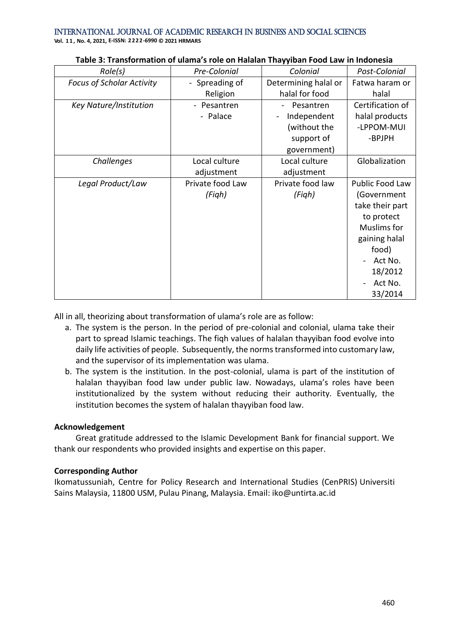International Journal of Academic Research in Business and Social Sciences **Vol. 1 1 , No. 4, 2021, E-ISSN: 2222-6990 © 2021 HRMARS**

*Role(s) Pre-Colonial Colonial Post-Colonial Focus of Scholar Activity* | - Spreading of Religion Determining halal or halal for food Fatwa haram or halal *Key Nature/Institution* - Pesantren - Palace - Pesantren - Independent (without the support of government) Certification of halal products -LPPOM-MUI -BPJPH *Challenges* Local culture adjustment Local culture adjustment Globalization Legal Product/Law | Private food Law *(Fiqh)* Private food law *(Fiqh)* Public Food Law (Government take their part to protect Muslims for gaining halal food) - Act No. 18/2012 - Act No. 33/2014

#### **Table 3: Transformation of ulama's role on Halalan Thayyiban Food Law in Indonesia**

All in all, theorizing about transformation of ulama's role are as follow:

- a. The system is the person. In the period of pre-colonial and colonial, ulama take their part to spread Islamic teachings. The fiqh values of halalan thayyiban food evolve into daily life activities of people. Subsequently, the norms transformed into customary law, and the supervisor of its implementation was ulama.
- b. The system is the institution. In the post-colonial, ulama is part of the institution of halalan thayyiban food law under public law. Nowadays, ulama's roles have been institutionalized by the system without reducing their authority. Eventually, the institution becomes the system of halalan thayyiban food law.

#### **Acknowledgement**

Great gratitude addressed to the Islamic Development Bank for financial support. We thank our respondents who provided insights and expertise on this paper.

#### **Corresponding Author**

Ikomatussuniah, Centre for Policy Research and International Studies (CenPRIS) Universiti Sains Malaysia, 11800 USM, Pulau Pinang, Malaysia. Email: iko@untirta.ac.id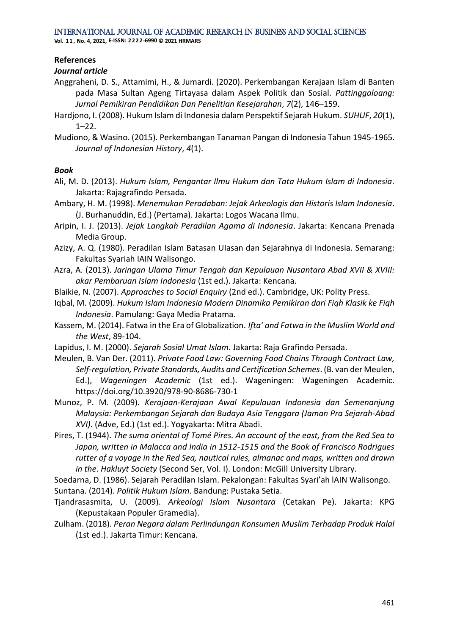**Vol. 1 1 , No. 4, 2021, E-ISSN: 2222-6990 © 2021 HRMARS**

#### **References**

#### *Journal article*

- Anggraheni, D. S., Attamimi, H., & Jumardi. (2020). Perkembangan Kerajaan Islam di Banten pada Masa Sultan Ageng Tirtayasa dalam Aspek Politik dan Sosial. *Pattinggaloang: Jurnal Pemikiran Pendidikan Dan Penelitian Kesejarahan*, *7*(2), 146–159.
- Hardjono, I. (2008). Hukum Islam di Indonesia dalam Perspektif Sejarah Hukum. *SUHUF*, *20*(1), 1–22.
- Mudiono, & Wasino. (2015). Perkembangan Tanaman Pangan di Indonesia Tahun 1945-1965. *Journal of Indonesian History*, *4*(1).

#### *Book*

- Ali, M. D. (2013). *Hukum Islam, Pengantar Ilmu Hukum dan Tata Hukum Islam di Indonesia*. Jakarta: Rajagrafindo Persada.
- Ambary, H. M. (1998). *Menemukan Peradaban: Jejak Arkeologis dan Historis Islam Indonesia*. (J. Burhanuddin, Ed.) (Pertama). Jakarta: Logos Wacana Ilmu.
- Aripin, I. J. (2013). *Jejak Langkah Peradilan Agama di Indonesia*. Jakarta: Kencana Prenada Media Group.
- Azizy, A. Q. (1980). Peradilan Islam Batasan UIasan dan Sejarahnya di Indonesia. Semarang: Fakultas Syariah IAIN Walisongo.
- Azra, A. (2013). *Jaringan Ulama Timur Tengah dan Kepulauan Nusantara Abad XVII & XVIII: akar Pembaruan Islam Indonesia* (1st ed.). Jakarta: Kencana.
- Blaikie, N. (2007). *Approaches to Social Enquiry* (2nd ed.). Cambridge, UK: Polity Press.
- Iqbal, M. (2009). *Hukum Islam Indonesia Modern Dinamika Pemikiran dari Fiqh Klasik ke Fiqh Indonesia*. Pamulang: Gaya Media Pratama.
- Kassem, M. (2014). Fatwa in the Era of Globalization. *Ifta' and Fatwa in the Muslim World and the West*, 89-104.
- Lapidus, I. M. (2000). *Sejarah Sosial Umat Islam*. Jakarta: Raja Grafindo Persada.
- Meulen, B. Van Der. (2011). *Private Food Law: Governing Food Chains Through Contract Law, Self-regulation, Private Standards, Audits and Certification Schemes*. (B. van der Meulen, Ed.), *Wageningen Academic* (1st ed.). Wageningen: Wageningen Academic. <https://doi.org/10.3920/978-90-8686-730-1>
- Munoz, P. M. (2009). *Kerajaan-Kerajaan Awal Kepulauan Indonesia dan Semenanjung Malaysia: Perkembangan Sejarah dan Budaya Asia Tenggara (Jaman Pra Sejarah-Abad XVI)*. (Adve, Ed.) (1st ed.). Yogyakarta: Mitra Abadi.
- Pires, T. (1944). *The suma oriental of Tomé Pires. An account of the east, from the Red Sea to Japan, written in Malacca and India in 1512-1515 and the Book of Francisco Rodrigues rutter of a voyage in the Red Sea, nautical rules, almanac and maps, written and drawn in the*. *Hakluyt Society* (Second Ser, Vol. I). London: McGill University Library.

Soedarna, D. (1986). Sejarah Peradilan Islam. Pekalongan: Fakultas Syari'ah lAIN Walisongo. Suntana. (2014). *Politik Hukum Islam*. Bandung: Pustaka Setia.

- Tjandrasasmita, U. (2009). *Arkeologi Islam Nusantara* (Cetakan Pe). Jakarta: KPG (Kepustakaan Populer Gramedia).
- Zulham. (2018). *Peran Negara dalam Perlindungan Konsumen Muslim Terhadap Produk Halal* (1st ed.). Jakarta Timur: Kencana.